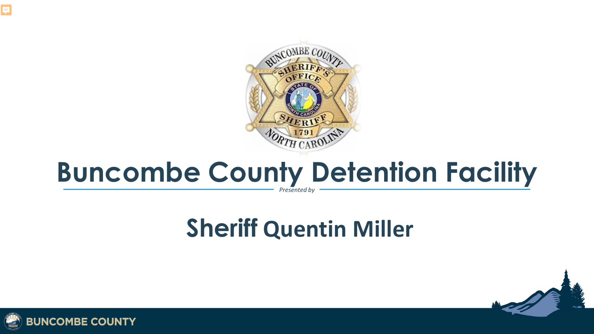

#### **Presented b Buncombe County Detention Facility**

### **Sheriff Quentin Miller**



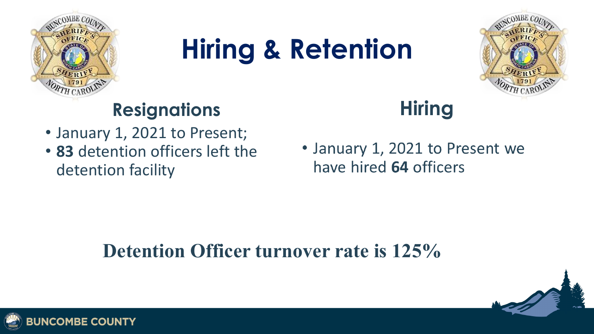

## **Hiring & Retention**



### **Resignations**

- January 1, 2021 to Present;
- **83** detention officers left the detention facility

### **Hiring**

• January 1, 2021 to Present we have hired 64 officers

### **Detention Officer turnover rate is 125%**



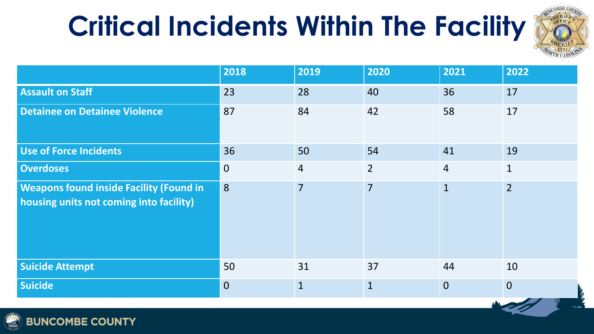# **Critical Incidents Within The Facility**



|                                                                                           | 2018           | 2019           | 2020           | 2021           | 2022           |
|-------------------------------------------------------------------------------------------|----------------|----------------|----------------|----------------|----------------|
| <b>Assault on Staff</b>                                                                   | 23             | 28             | 40             | 36             | 17             |
| <b>Detainee on Detainee Violence</b>                                                      | 87             | 84             | 42             | 58             | 17             |
| <b>Use of Force Incidents</b>                                                             | 36             | 50             | 54             | 41             | 19             |
| <b>Overdoses</b>                                                                          | $\overline{0}$ | $\overline{4}$ | $\overline{2}$ | $\overline{4}$ | $\mathbf{1}$   |
| <b>Weapons found inside Facility (Found in</b><br>housing units not coming into facility) | 8              | $\overline{7}$ | $\overline{7}$ | $\mathbf{1}$   | $\overline{2}$ |
| <b>Suicide Attempt</b>                                                                    | 50             | 31             | 37             | 44             | 10             |
| <b>Suicide</b>                                                                            | $\overline{0}$ | $\mathbf{1}$   | $\mathbf{1}$   | $\overline{0}$ | $\overline{0}$ |

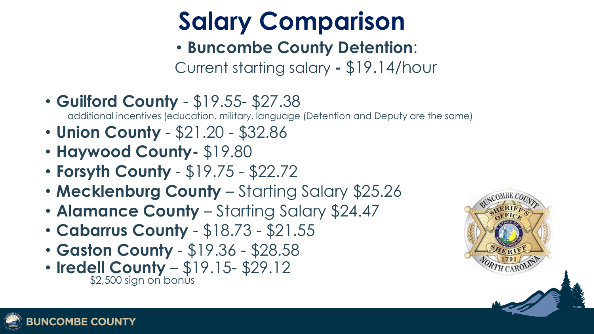### **Salary Comparison**

#### • **Buncombe County Detention**:

Current starting salary **-** \$19.14/hour

• **Guilford County** - \$19.55- \$27.38

additional incentives (education, military, language (Detention and Deputy are the same)

- **Union County**  \$21.20 \$32.86
- **Haywood County-** \$19.80
- **Forsyth County**  \$19.75 \$22.72
- **Mecklenburg County** Starting Salary \$25.26
- **Alamance County** Starting Salary \$24.47
- **Cabarrus County**  \$18.73 \$21.55
- **Gaston County**  \$19.36 \$28.58
- **Iredell County**  $-$  \$19.15 \$29.12

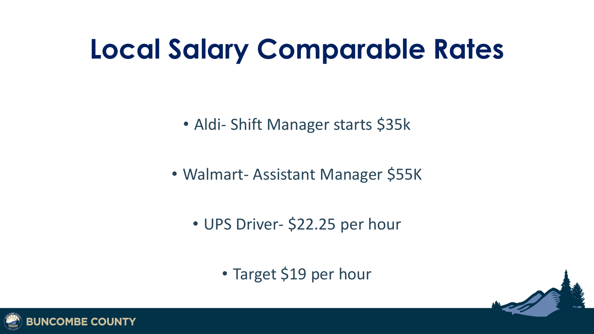### **Local Salary Comparable Rates**

• Aldi- Shift Manager starts \$35k

• Walmart- Assistant Manager \$55K

• UPS Driver- \$22.25 per hour

• Target \$19 per hour

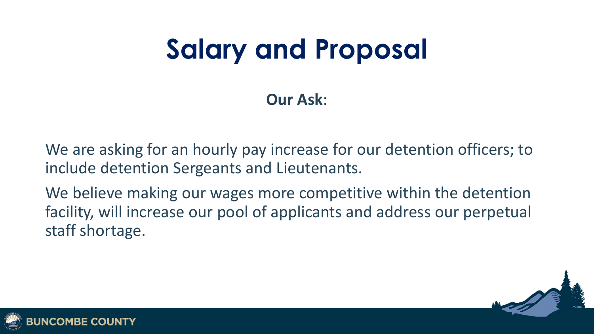## **Salary and Proposal**

**Our Ask**:

We are asking for an hourly pay increase for our detention officers; to include detention Sergeants and Lieutenants.

We believe making our wages more competitive within the detention facility, will increase our pool of applicants and address our perpetual staff shortage.



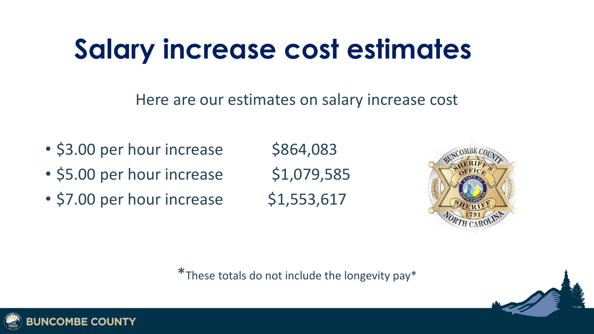### **Salary increase cost estimates**

#### Here are our estimates on salary increase cost

- $\cdot$  \$3.00 per hour increase  $\phantom{000}$  \$864,083
- $\cdot$  \$5.00 per hour increase  $\phantom{000}$  \$1,079,585
- $\cdot$  \$7.00 per hour increase  $\phantom{000}$  \$1,553,617



\*These totals do not include the longevity pay\*

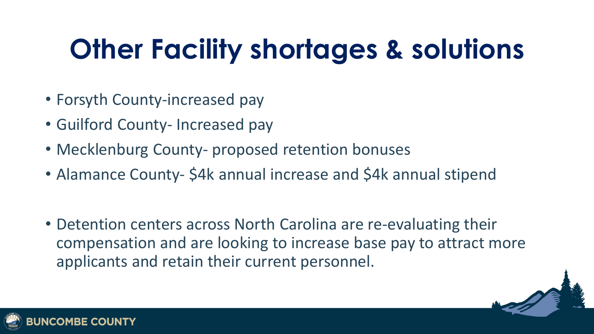## **Other Facility shortages & solutions**

- Forsyth County-increased pay
- Guilford County- Increased pay
- Mecklenburg County- proposed retention bonuses
- Alamance County- \$4k annual increase and \$4k annual stipend
- Detention centers across North Carolina are re-evaluating their compensation and are looking to increase base pay to attract more applicants and retain their current personnel.